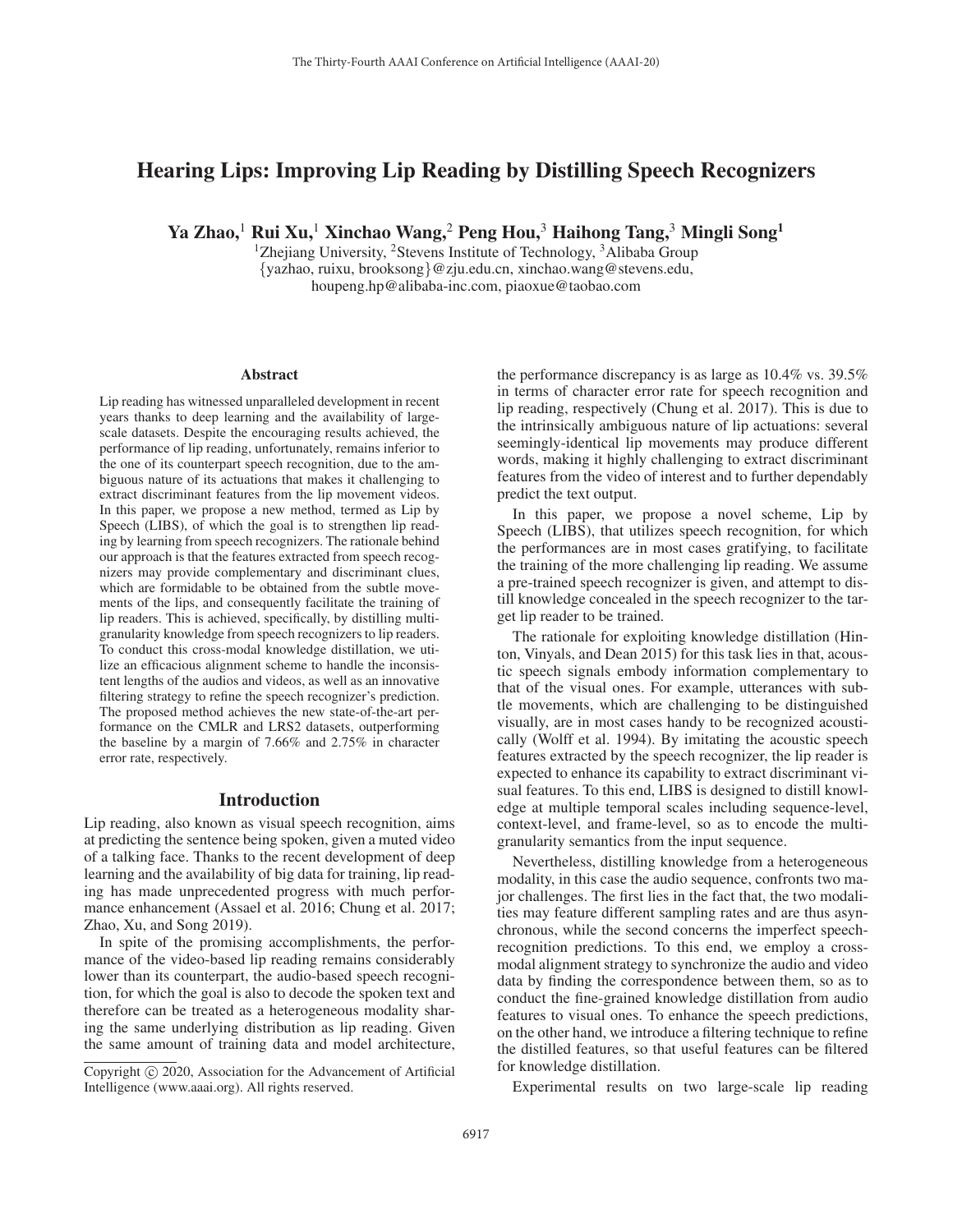# Hearing Lips: Improving Lip Reading by Distilling Speech Recognizers

Ya Zhao,<sup>1</sup> Rui Xu,<sup>1</sup> Xinchao Wang,<sup>2</sup> Peng Hou,<sup>3</sup> Haihong Tang,<sup>3</sup> Mingli Song<sup>1</sup>

<sup>1</sup>Zhejiang University, <sup>2</sup>Stevens Institute of Technology, <sup>3</sup>Alibaba Group {yazhao, ruixu, brooksong}@zju.edu.cn, xinchao.wang@stevens.edu, houpeng.hp@alibaba-inc.com, piaoxue@taobao.com

#### Abstract

Lip reading has witnessed unparalleled development in recent years thanks to deep learning and the availability of largescale datasets. Despite the encouraging results achieved, the performance of lip reading, unfortunately, remains inferior to the one of its counterpart speech recognition, due to the ambiguous nature of its actuations that makes it challenging to extract discriminant features from the lip movement videos. In this paper, we propose a new method, termed as Lip by Speech (LIBS), of which the goal is to strengthen lip reading by learning from speech recognizers. The rationale behind our approach is that the features extracted from speech recognizers may provide complementary and discriminant clues, which are formidable to be obtained from the subtle movements of the lips, and consequently facilitate the training of lip readers. This is achieved, specifically, by distilling multigranularity knowledge from speech recognizers to lip readers. To conduct this cross-modal knowledge distillation, we utilize an efficacious alignment scheme to handle the inconsistent lengths of the audios and videos, as well as an innovative filtering strategy to refine the speech recognizer's prediction. The proposed method achieves the new state-of-the-art performance on the CMLR and LRS2 datasets, outperforming the baseline by a margin of 7.66% and 2.75% in character error rate, respectively.

### Introduction

Lip reading, also known as visual speech recognition, aims at predicting the sentence being spoken, given a muted video of a talking face. Thanks to the recent development of deep learning and the availability of big data for training, lip reading has made unprecedented progress with much performance enhancement (Assael et al. 2016; Chung et al. 2017; Zhao, Xu, and Song 2019).

In spite of the promising accomplishments, the performance of the video-based lip reading remains considerably lower than its counterpart, the audio-based speech recognition, for which the goal is also to decode the spoken text and therefore can be treated as a heterogeneous modality sharing the same underlying distribution as lip reading. Given the same amount of training data and model architecture,

the performance discrepancy is as large as 10.4% vs. 39.5% in terms of character error rate for speech recognition and lip reading, respectively (Chung et al. 2017). This is due to the intrinsically ambiguous nature of lip actuations: several seemingly-identical lip movements may produce different words, making it highly challenging to extract discriminant features from the video of interest and to further dependably predict the text output.

In this paper, we propose a novel scheme, Lip by Speech (LIBS), that utilizes speech recognition, for which the performances are in most cases gratifying, to facilitate the training of the more challenging lip reading. We assume a pre-trained speech recognizer is given, and attempt to distill knowledge concealed in the speech recognizer to the target lip reader to be trained.

The rationale for exploiting knowledge distillation (Hinton, Vinyals, and Dean 2015) for this task lies in that, acoustic speech signals embody information complementary to that of the visual ones. For example, utterances with subtle movements, which are challenging to be distinguished visually, are in most cases handy to be recognized acoustically (Wolff et al. 1994). By imitating the acoustic speech features extracted by the speech recognizer, the lip reader is expected to enhance its capability to extract discriminant visual features. To this end, LIBS is designed to distill knowledge at multiple temporal scales including sequence-level, context-level, and frame-level, so as to encode the multigranularity semantics from the input sequence.

Nevertheless, distilling knowledge from a heterogeneous modality, in this case the audio sequence, confronts two major challenges. The first lies in the fact that, the two modalities may feature different sampling rates and are thus asynchronous, while the second concerns the imperfect speechrecognition predictions. To this end, we employ a crossmodal alignment strategy to synchronize the audio and video data by finding the correspondence between them, so as to conduct the fine-grained knowledge distillation from audio features to visual ones. To enhance the speech predictions, on the other hand, we introduce a filtering technique to refine the distilled features, so that useful features can be filtered for knowledge distillation.

Experimental results on two large-scale lip reading

Copyright  $\odot$  2020, Association for the Advancement of Artificial Intelligence (www.aaai.org). All rights reserved.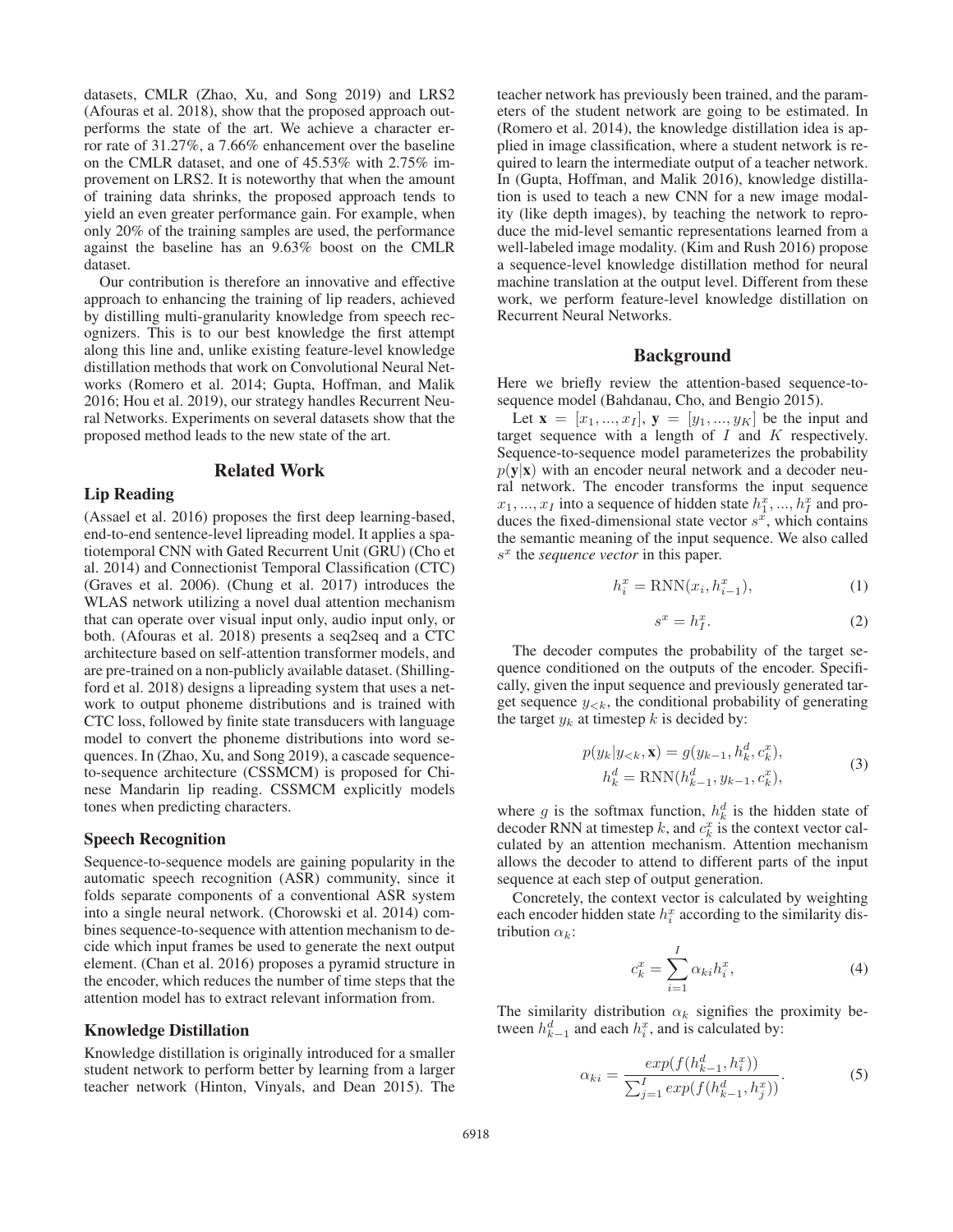datasets, CMLR (Zhao, Xu, and Song 2019) and LRS2 (Afouras et al. 2018), show that the proposed approach outperforms the state of the art. We achieve a character error rate of 31.27%, a 7.66% enhancement over the baseline on the CMLR dataset, and one of 45.53% with 2.75% improvement on LRS2. It is noteworthy that when the amount of training data shrinks, the proposed approach tends to yield an even greater performance gain. For example, when only 20% of the training samples are used, the performance against the baseline has an 9.63% boost on the CMLR dataset.

Our contribution is therefore an innovative and effective approach to enhancing the training of lip readers, achieved by distilling multi-granularity knowledge from speech recognizers. This is to our best knowledge the first attempt along this line and, unlike existing feature-level knowledge distillation methods that work on Convolutional Neural Networks (Romero et al. 2014; Gupta, Hoffman, and Malik 2016; Hou et al. 2019), our strategy handles Recurrent Neural Networks. Experiments on several datasets show that the proposed method leads to the new state of the art.

# Related Work

#### Lip Reading

(Assael et al. 2016) proposes the first deep learning-based, end-to-end sentence-level lipreading model. It applies a spatiotemporal CNN with Gated Recurrent Unit (GRU) (Cho et al. 2014) and Connectionist Temporal Classification (CTC) (Graves et al. 2006). (Chung et al. 2017) introduces the WLAS network utilizing a novel dual attention mechanism that can operate over visual input only, audio input only, or both. (Afouras et al. 2018) presents a seq2seq and a CTC architecture based on self-attention transformer models, and are pre-trained on a non-publicly available dataset. (Shillingford et al. 2018) designs a lipreading system that uses a network to output phoneme distributions and is trained with CTC loss, followed by finite state transducers with language model to convert the phoneme distributions into word sequences. In (Zhao, Xu, and Song 2019), a cascade sequenceto-sequence architecture (CSSMCM) is proposed for Chinese Mandarin lip reading. CSSMCM explicitly models tones when predicting characters.

#### Speech Recognition

Sequence-to-sequence models are gaining popularity in the automatic speech recognition (ASR) community, since it folds separate components of a conventional ASR system into a single neural network. (Chorowski et al. 2014) combines sequence-to-sequence with attention mechanism to decide which input frames be used to generate the next output element. (Chan et al. 2016) proposes a pyramid structure in the encoder, which reduces the number of time steps that the attention model has to extract relevant information from.

#### Knowledge Distillation

Knowledge distillation is originally introduced for a smaller student network to perform better by learning from a larger teacher network (Hinton, Vinyals, and Dean 2015). The teacher network has previously been trained, and the parameters of the student network are going to be estimated. In (Romero et al. 2014), the knowledge distillation idea is applied in image classification, where a student network is required to learn the intermediate output of a teacher network. In (Gupta, Hoffman, and Malik 2016), knowledge distillation is used to teach a new CNN for a new image modality (like depth images), by teaching the network to reproduce the mid-level semantic representations learned from a well-labeled image modality. (Kim and Rush 2016) propose a sequence-level knowledge distillation method for neural machine translation at the output level. Different from these work, we perform feature-level knowledge distillation on Recurrent Neural Networks.

#### Background

Here we briefly review the attention-based sequence-tosequence model (Bahdanau, Cho, and Bengio 2015).

Let  ${\bf x} = [x_1, ..., x_I],$   ${\bf y} = [y_1, ..., y_K]$  be the input and target sequence with a length of  $I$  and  $K$  respectively. Sequence-to-sequence model parameterizes the probability  $p(y|x)$  with an encoder neural network and a decoder neural network. The encoder transforms the input sequence  $x_1, ..., x_I$  into a sequence of hidden state  $h_1^x, ..., h_I^x$  and pro-<br>duces the fixed-dimensional state vector  $s^x$  which contains duces the fixed-dimensional state vector  $s^x$ , which contains the semantic meaning of the input sequence. We also called  $s<sup>x</sup>$  the *sequence vector* in this paper.

$$
h_i^x = \text{RNN}(x_i, h_{i-1}^x),\tag{1}
$$

$$
s^x = h_I^x. \tag{2}
$$

The decoder computes the probability of the target sequence conditioned on the outputs of the encoder. Specifically, given the input sequence and previously generated target sequence  $y_{< k}$ , the conditional probability of generating the target  $y_k$  at timestep k is decided by:

$$
p(y_k|y_{< k}, \mathbf{x}) = g(y_{k-1}, h_k^d, c_k^x),
$$
  
\n
$$
h_k^d = \text{RNN}(h_{k-1}^d, y_{k-1}, c_k^x),
$$
\n(3)

where g is the softmax function,  $h_k^d$  is the hidden state of decoder RNN at timesten k and  $c^x$  is the context vector caldecoder RNN at timestep k, and  $c_k^x$  is the context vector cal-<br>culated by an attention mechanism. Attention mechanism culated by an attention mechanism. Attention mechanism allows the decoder to attend to different parts of the input sequence at each step of output generation.

Concretely, the context vector is calculated by weighting each encoder hidden state  $h_i^x$  according to the similarity distribution  $\alpha_i$ . tribution  $\alpha_k$ :

$$
c_k^x = \sum_{i=1}^I \alpha_{ki} h_i^x, \qquad (4)
$$

The similarity distribution  $\alpha_k$  signifies the proximity between  $h_{k-1}^d$  and each  $h_i^x$ , and is calculated by:

$$
\alpha_{ki} = \frac{exp(f(h_{k-1}^d, h_i^x))}{\sum_{j=1}^I exp(f(h_{k-1}^d, h_j^x))}.
$$
 (5)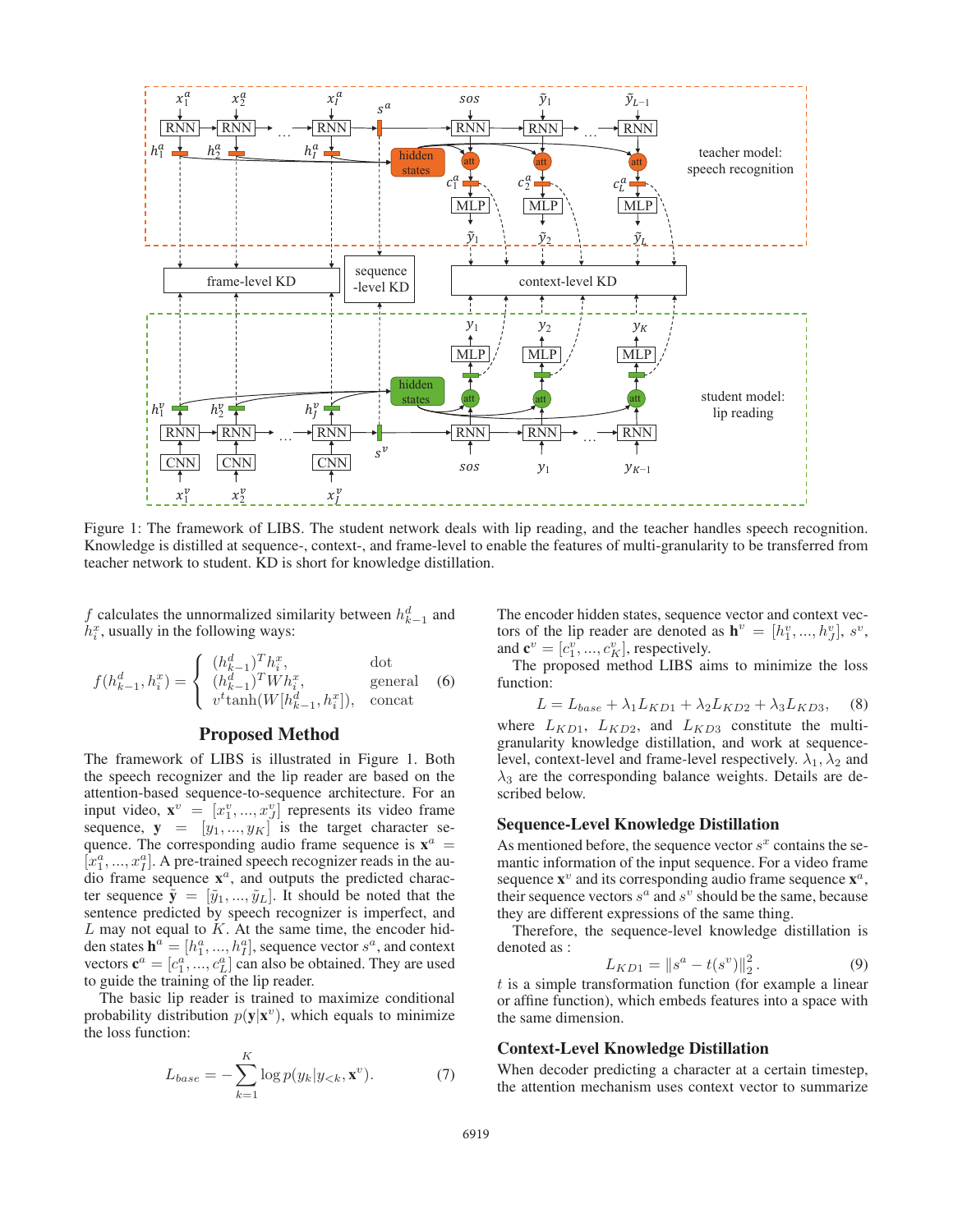

Figure 1: The framework of LIBS. The student network deals with lip reading, and the teacher handles speech recognition. Knowledge is distilled at sequence-, context-, and frame-level to enable the features of multi-granularity to be transferred from teacher network to student. KD is short for knowledge distillation.

f calculates the unnormalized similarity between  $h_{k-1}^d$  and  $h_k^x$  usually in the following ways:  $h_i^x$ , usually in the following ways:

$$
f(h_{k-1}^d, h_i^x) = \begin{cases} (h_{k-1}^d)^T h_i^x, & \text{dot} \\ (h_{k-1}^d)^T W h_i^x, & \text{general} \\ v^t \tanh(W[h_{k-1}^d, h_i^x]), & \text{concat} \end{cases}
$$
 (6)

### Proposed Method

The framework of LIBS is illustrated in Figure 1. Both the speech recognizer and the lip reader are based on the attention-based sequence-to-sequence architecture. For an input video,  $\mathbf{x}^v = [x_1^v, ..., x_J^v]$  represents its video frame sequence  $\mathbf{y} = [y_1, y_2]$  is the target character sesequence,  $y = [y_1, ..., y_K]$  is the target character sequence. The corresponding audio frame sequence is  $x^a$  =  $[x_1^a, ..., x_l^a]$ . A pre-trained speech recognizer reads in the au-<br>dio frame sequence  $\mathbf{x}^a$  and outputs the predicted characdio frame sequence  $\mathbf{x}^a$ , and outputs the predicted character sequence  $\tilde{\mathbf{y}} = [\tilde{y}_1, ..., \tilde{y}_L]$ . It should be noted that the sentence predicted by speech recognizer is imperfect, and  $L$  may not equal to  $K$ . At the same time, the encoder hidden states  $\mathbf{h}^a = [h_1^a, ..., h_T^a]$ , sequence vector  $s^a$ , and context<br>vectors  $\mathbf{c}^a = [a_1^a, ..., b_T^a]$ , sequence vector  $s^a$ , and context vectors  $\mathbf{c}^a = [c_1^{a_1}, \dots, c_L^{a_L}]$  can also be obtained. They are used to guide the training of the lin reader to guide the training of the lip reader.

The basic lip reader is trained to maximize conditional probability distribution  $p(y|x^v)$ , which equals to minimize the loss function:

$$
L_{base} = -\sum_{k=1}^{K} \log p(y_k | y_{< k}, \mathbf{x}^v). \tag{7}
$$

The encoder hidden states, sequence vector and context vectors of the lip reader are denoted as  $\mathbf{h}^v = [h_1^v, ..., h_J^v], s^v$ ,<br>and  $\mathbf{c}^v = [c_i^v, ..., c_i^v]$ , respectively and  $\mathbf{c}^v = [c_1^v, ..., c_K^v]$ , respectively.<br>The proposed method LIBS at

The proposed method LIBS aims to minimize the loss function:

 $L = L_{base} + \lambda_1 L_{KD1} + \lambda_2 L_{KD2} + \lambda_3 L_{KD3}$ , (8) where  $L_{KD1}$ ,  $L_{KD2}$ , and  $L_{KD3}$  constitute the multigranularity knowledge distillation, and work at sequencelevel, context-level and frame-level respectively.  $\lambda_1, \lambda_2$  and  $\lambda_3$  are the corresponding balance weights. Details are described below.

#### Sequence-Level Knowledge Distillation

As mentioned before, the sequence vector  $s^x$  contains the semantic information of the input sequence. For a video frame sequence  $x^v$  and its corresponding audio frame sequence  $x^a$ , their sequence vectors  $s^a$  and  $s^v$  should be the same, because they are different expressions of the same thing.

Therefore, the sequence-level knowledge distillation is denoted as :

$$
L_{KD1} = \|s^a - t(s^v)\|_2^2.
$$
 (9)

 $t$  is a simple transformation function (for example a linear or affine function) which embeds features into a space with or affine function), which embeds features into a space with the same dimension.

### Context-Level Knowledge Distillation

When decoder predicting a character at a certain timestep, the attention mechanism uses context vector to summarize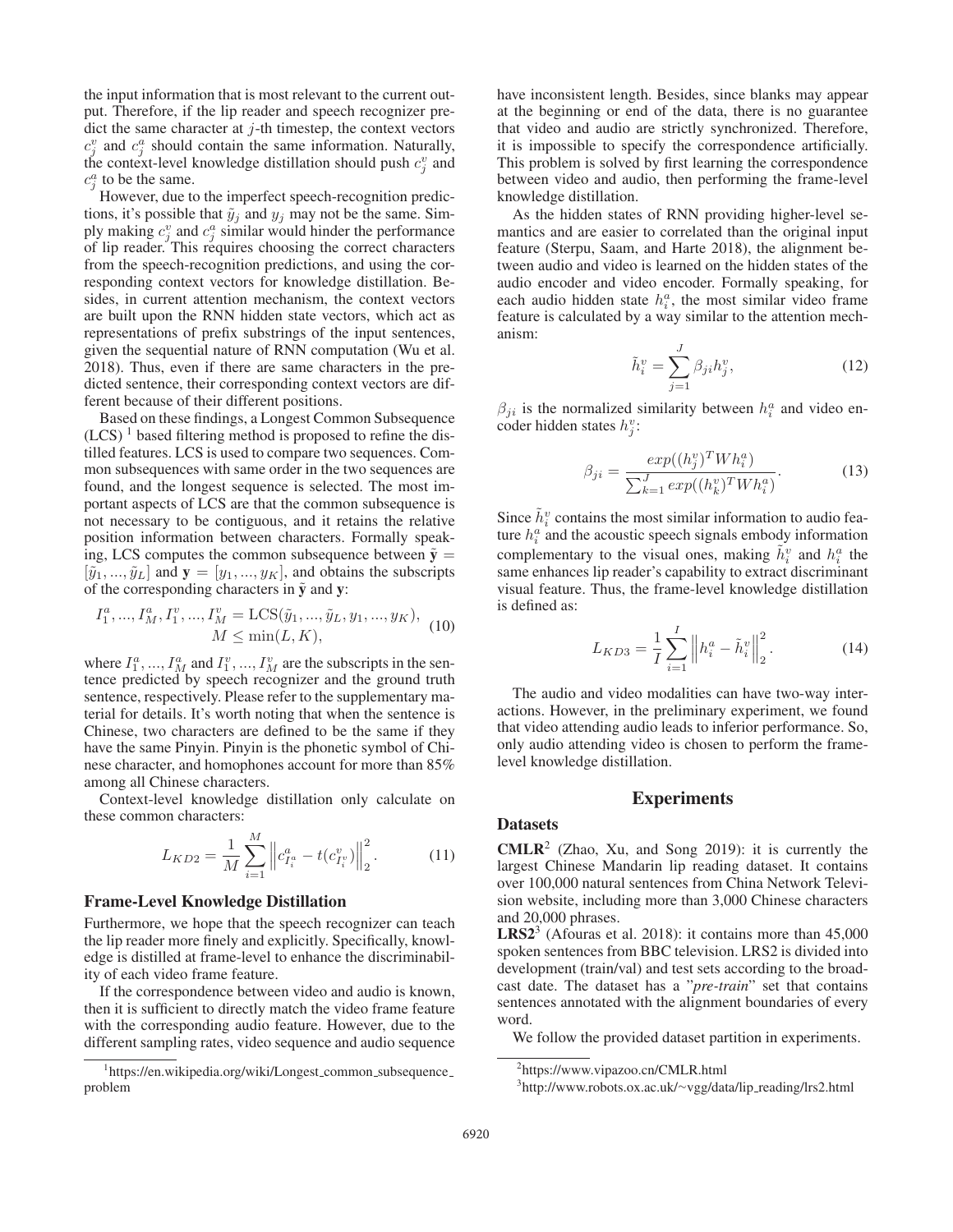the input information that is most relevant to the current output. Therefore, if the lip reader and speech recognizer predict the same character at  $j$ -th timestep, the context vectors  $c_j^v$  and  $c_j^a$  should contain the same information. Naturally, the context-level knowledge distillation should push  $c_v^v$  and the context-level knowledge distillation should push  $c_j^v$  and  $c_q^a$  to be the same  $c_j^a$  to be the same.<br>However due to

However, due to the imperfect speech-recognition predictions, it's possible that  $\tilde{y}_j$  and  $y_j$  may not be the same. Simply making  $c_j^v$  and  $c_j^a$  similar would hinder the performance<br>of lin reader. This requires choosing the correct characters of lip reader. This requires choosing the correct characters from the speech-recognition predictions, and using the corresponding context vectors for knowledge distillation. Besides, in current attention mechanism, the context vectors are built upon the RNN hidden state vectors, which act as representations of prefix substrings of the input sentences, given the sequential nature of RNN computation (Wu et al. 2018). Thus, even if there are same characters in the predicted sentence, their corresponding context vectors are different because of their different positions.

Based on these findings, a Longest Common Subsequence  $(LCS)^1$  based filtering method is proposed to refine the distilled features. LCS is used to compare two sequences. Common subsequences with same order in the two sequences are found, and the longest sequence is selected. The most important aspects of LCS are that the common subsequence is not necessary to be contiguous, and it retains the relative position information between characters. Formally speaking, LCS computes the common subsequence between  $\tilde{y} =$  $[\tilde{y}_1, ..., \tilde{y}_L]$  and  $\mathbf{y} = [y_1, ..., y_K]$ , and obtains the subscripts of the corresponding characters in  $\tilde{y}$  and y:

$$
I_1^a, ..., I_M^a, I_1^v, ..., I_M^v = \text{LCS}(\tilde{y}_1, ..., \tilde{y}_L, y_1, ..., y_K),
$$
  

$$
M \le \min(L, K),
$$
 (10)

where  $I_1^a$ , ...,  $I_M^a$  and  $I_1^v$ , ...,  $I_M^v$  are the subscripts in the sentence predicted by speech recognizer and the ground truth tence predicted by speech recognizer and the ground truth sentence, respectively. Please refer to the supplementary material for details. It's worth noting that when the sentence is Chinese, two characters are defined to be the same if they have the same Pinyin. Pinyin is the phonetic symbol of Chinese character, and homophones account for more than 85% among all Chinese characters.

Context-level knowledge distillation only calculate on these common characters:

$$
L_{KD2} = \frac{1}{M} \sum_{i=1}^{M} \left\| c_{I_i^a}^a - t(c_{I_i^v}^v) \right\|_2^2.
$$
 (11)

#### Frame-Level Knowledge Distillation

Furthermore, we hope that the speech recognizer can teach the lip reader more finely and explicitly. Specifically, knowledge is distilled at frame-level to enhance the discriminability of each video frame feature.

If the correspondence between video and audio is known, then it is sufficient to directly match the video frame feature with the corresponding audio feature. However, due to the different sampling rates, video sequence and audio sequence have inconsistent length. Besides, since blanks may appear at the beginning or end of the data, there is no guarantee that video and audio are strictly synchronized. Therefore, it is impossible to specify the correspondence artificially. This problem is solved by first learning the correspondence between video and audio, then performing the frame-level knowledge distillation.

As the hidden states of RNN providing higher-level semantics and are easier to correlated than the original input feature (Sterpu, Saam, and Harte 2018), the alignment between audio and video is learned on the hidden states of the audio encoder and video encoder. Formally speaking, for each audio hidden state  $h_i^a$ , the most similar video frame<br>feature is calculated by a way similar to the attention mechfeature is calculated by a way similar to the attention mechanism:

$$
\tilde{h}_i^v = \sum_{j=1}^J \beta_{ji} h_j^v,\tag{12}
$$

 $\beta_{ji}$  is the normalized similarity between  $h_i^a$  and video encoder hidden states  $h_i^a$ . coder hidden states  $h_j^v$ :

$$
\beta_{ji} = \frac{exp((h_j^v)^T W h_i^a)}{\sum_{k=1}^J exp((h_k^v)^T W h_i^a)}.
$$
\n(13)

Since  $\tilde{h}_i^v$  contains the most similar information to audio fea-<br>ture  $h_i^a$  and the acoustic speech signals embody information ture  $h_i^a$  and the acoustic speech signals embody information<br>complementary to the vieuel ones, making  $\tilde{h}^v$  and  $h^a$  the complementary to the visual ones, making  $\tilde{h}_i^v$  and  $h_i^a$  the same enhances lin reader's canability to extract discriminant same enhances lip reader's capability to extract discriminant visual feature. Thus, the frame-level knowledge distillation is defined as:

$$
L_{KD3} = \frac{1}{I} \sum_{i=1}^{I} \left\| h_i^a - \tilde{h}_i^v \right\|_2^2.
$$
 (14)

The audio and video modalities can have two-way interactions. However, in the preliminary experiment, we found that video attending audio leads to inferior performance. So, only audio attending video is chosen to perform the framelevel knowledge distillation.

### Experiments

### **Datasets**

**CMLR**<sup>2</sup> (Zhao, Xu, and Song 2019): it is currently the largest Chinese Mandarin lip reading dataset. It contains over 100,000 natural sentences from China Network Television website, including more than 3,000 Chinese characters and 20,000 phrases.

**LRS2**<sup>3</sup> (Afouras et al. 2018): it contains more than  $45,000$ spoken sentences from BBC television. LRS2 is divided into development (train/val) and test sets according to the broadcast date. The dataset has a "*pre-train*" set that contains sentences annotated with the alignment boundaries of every word.

We follow the provided dataset partition in experiments.

<sup>&</sup>lt;sup>1</sup>https://en.wikipedia.org/wiki/Longest\_common\_subsequence problem

<sup>2</sup> https://www.vipazoo.cn/CMLR.html

<sup>&</sup>lt;sup>3</sup>http://www.robots.ox.ac.uk/∼vgg/data/lip\_reading/lrs2.html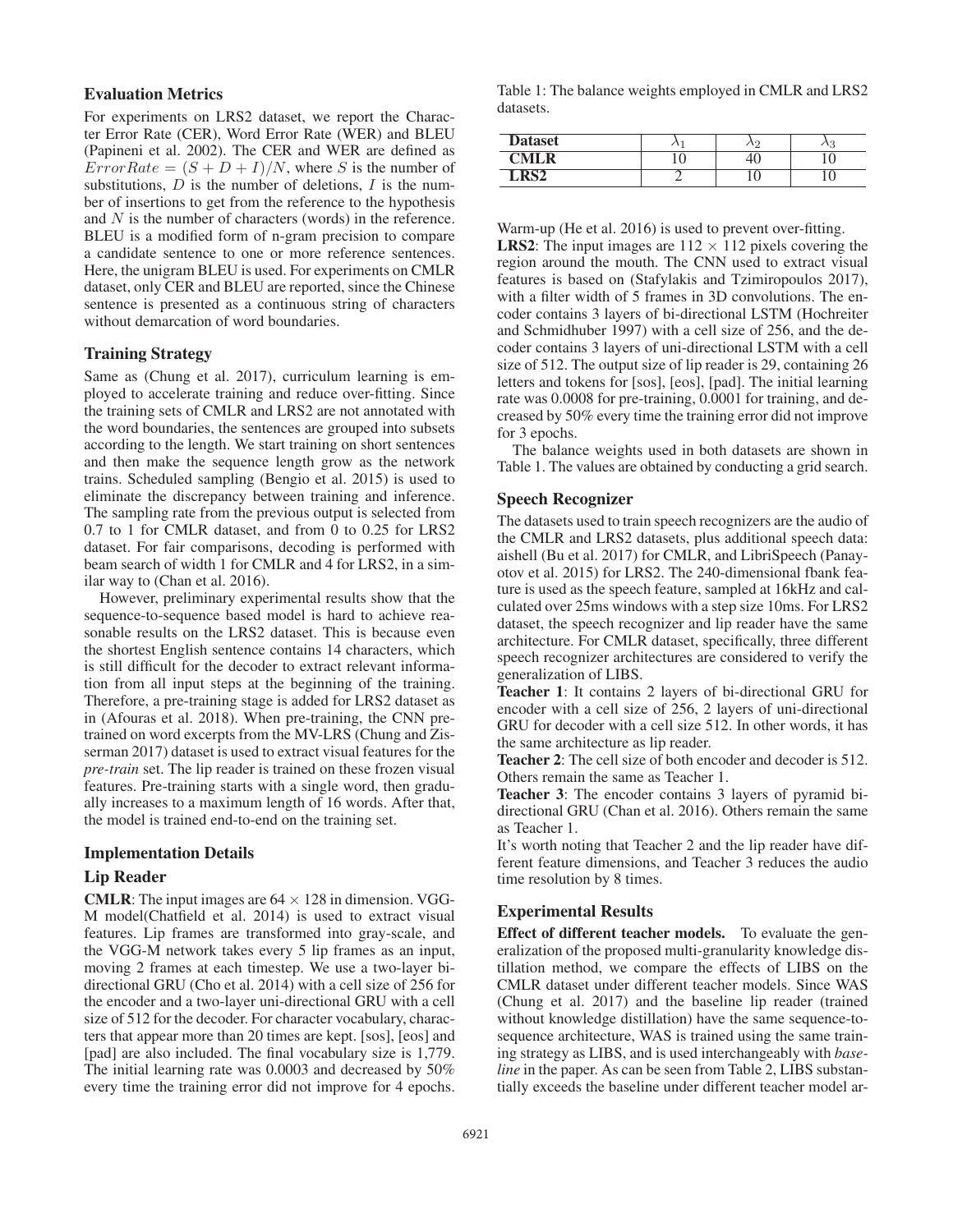# Evaluation Metrics

For experiments on LRS2 dataset, we report the Character Error Rate (CER), Word Error Rate (WER) and BLEU (Papineni et al. 2002). The CER and WER are defined as  $ErrorRate = (S + D + I)/N$ , where S is the number of substitutions,  $D$  is the number of deletions,  $I$  is the number of insertions to get from the reference to the hypothesis and  $N$  is the number of characters (words) in the reference. BLEU is a modified form of n-gram precision to compare a candidate sentence to one or more reference sentences. Here, the unigram BLEU is used. For experiments on CMLR dataset, only CER and BLEU are reported, since the Chinese sentence is presented as a continuous string of characters without demarcation of word boundaries.

### Training Strategy

Same as (Chung et al. 2017), curriculum learning is employed to accelerate training and reduce over-fitting. Since the training sets of CMLR and LRS2 are not annotated with the word boundaries, the sentences are grouped into subsets according to the length. We start training on short sentences and then make the sequence length grow as the network trains. Scheduled sampling (Bengio et al. 2015) is used to eliminate the discrepancy between training and inference. The sampling rate from the previous output is selected from 0.7 to 1 for CMLR dataset, and from 0 to 0.25 for LRS2 dataset. For fair comparisons, decoding is performed with beam search of width 1 for CMLR and 4 for LRS2, in a similar way to (Chan et al. 2016).

However, preliminary experimental results show that the sequence-to-sequence based model is hard to achieve reasonable results on the LRS2 dataset. This is because even the shortest English sentence contains 14 characters, which is still difficult for the decoder to extract relevant information from all input steps at the beginning of the training. Therefore, a pre-training stage is added for LRS2 dataset as in (Afouras et al. 2018). When pre-training, the CNN pretrained on word excerpts from the MV-LRS (Chung and Zisserman 2017) dataset is used to extract visual features for the *pre-train* set. The lip reader is trained on these frozen visual features. Pre-training starts with a single word, then gradually increases to a maximum length of 16 words. After that, the model is trained end-to-end on the training set.

#### Implementation Details

### Lip Reader

**CMLR:** The input images are  $64 \times 128$  in dimension. VGG-M model(Chatfield et al. 2014) is used to extract visual features. Lip frames are transformed into gray-scale, and the VGG-M network takes every 5 lip frames as an input, moving 2 frames at each timestep. We use a two-layer bidirectional GRU (Cho et al. 2014) with a cell size of 256 for the encoder and a two-layer uni-directional GRU with a cell size of 512 for the decoder. For character vocabulary, characters that appear more than 20 times are kept. [sos], [eos] and [pad] are also included. The final vocabulary size is 1,779. The initial learning rate was 0.0003 and decreased by 50% every time the training error did not improve for 4 epochs.

Table 1: The balance weights employed in CMLR and LRS2 datasets.

| <b>Dataset</b> | $\ddot{\phantom{1}}$ | $\sqrt{2}$ | .c |
|----------------|----------------------|------------|----|
| CMI R          |                      |            |    |
| $\overline{P}$ |                      |            |    |

Warm-up (He et al. 2016) is used to prevent over-fitting. **LRS2:** The input images are  $112 \times 112$  pixels covering the region around the mouth. The CNN used to extract visual features is based on (Stafylakis and Tzimiropoulos 2017), with a filter width of 5 frames in 3D convolutions. The encoder contains 3 layers of bi-directional LSTM (Hochreiter and Schmidhuber 1997) with a cell size of 256, and the decoder contains 3 layers of uni-directional LSTM with a cell size of 512. The output size of lip reader is 29, containing 26 letters and tokens for [sos], [eos], [pad]. The initial learning rate was 0.0008 for pre-training, 0.0001 for training, and decreased by 50% every time the training error did not improve for 3 epochs.

The balance weights used in both datasets are shown in Table 1. The values are obtained by conducting a grid search.

#### Speech Recognizer

The datasets used to train speech recognizers are the audio of the CMLR and LRS2 datasets, plus additional speech data: aishell (Bu et al. 2017) for CMLR, and LibriSpeech (Panayotov et al. 2015) for LRS2. The 240-dimensional fbank feature is used as the speech feature, sampled at 16kHz and calculated over 25ms windows with a step size 10ms. For LRS2 dataset, the speech recognizer and lip reader have the same architecture. For CMLR dataset, specifically, three different speech recognizer architectures are considered to verify the generalization of LIBS.

Teacher 1: It contains 2 layers of bi-directional GRU for encoder with a cell size of 256, 2 layers of uni-directional GRU for decoder with a cell size 512. In other words, it has the same architecture as lip reader.

Teacher 2: The cell size of both encoder and decoder is 512. Others remain the same as Teacher 1.

Teacher 3: The encoder contains 3 layers of pyramid bidirectional GRU (Chan et al. 2016). Others remain the same as Teacher 1.

It's worth noting that Teacher 2 and the lip reader have different feature dimensions, and Teacher 3 reduces the audio time resolution by 8 times.

### Experimental Results

Effect of different teacher models. To evaluate the generalization of the proposed multi-granularity knowledge distillation method, we compare the effects of LIBS on the CMLR dataset under different teacher models. Since WAS (Chung et al. 2017) and the baseline lip reader (trained without knowledge distillation) have the same sequence-tosequence architecture, WAS is trained using the same training strategy as LIBS, and is used interchangeably with *baseline* in the paper. As can be seen from Table 2, LIBS substantially exceeds the baseline under different teacher model ar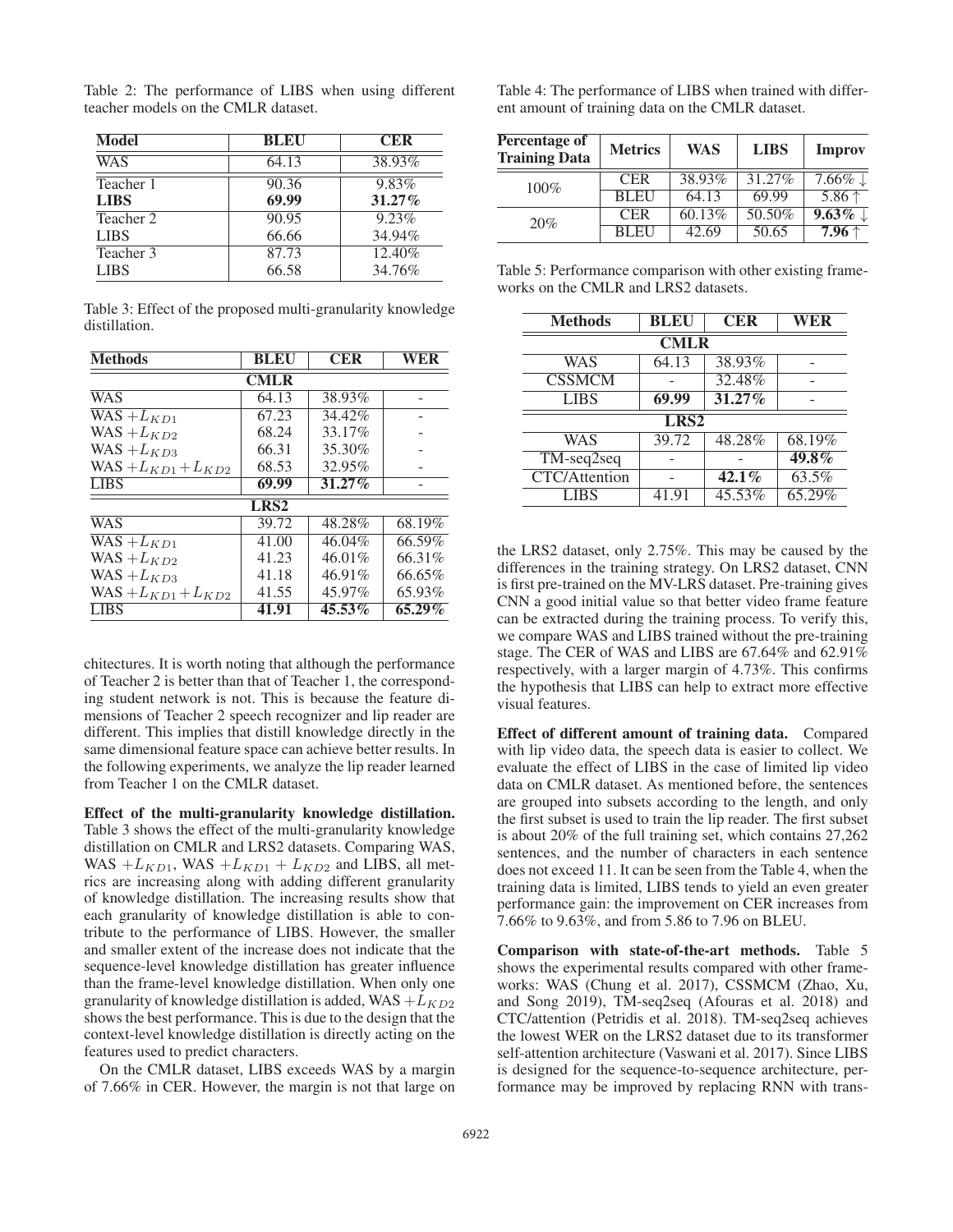Table 2: The performance of LIBS when using different teacher models on the CMLR dataset.

| Model       | <b>BLEU</b> | <b>CER</b> |
|-------------|-------------|------------|
| WAS         | 64.13       | 38.93%     |
| Teacher 1   | 90.36       | 9.83%      |
| <b>LIBS</b> | 69.99       | $31.27\%$  |
| Teacher 2   | 90.95       | 9.23%      |
| <b>LIBS</b> | 66.66       | 34.94%     |
| Teacher 3   | 87.73       | 12.40%     |
| <b>LIBS</b> | 66.58       | 34.76%     |

Table 3: Effect of the proposed multi-granularity knowledge distillation.

| <b>Methods</b>            | <b>BLEU</b>      | <b>CER</b> | WER    |
|---------------------------|------------------|------------|--------|
|                           | <b>CMLR</b>      |            |        |
| <b>WAS</b>                | 64.13            | 38.93%     |        |
| $WAS + L_{KD1}$           | 67.23            | 34.42%     |        |
| WAS $+L_{KD2}$            | 68.24            | 33.17%     |        |
| WAS $+L_{KD3}$            | 66.31            | 35.30%     |        |
| $WAS + L_{KD1} + L_{KD2}$ | 68.53            | 32.95%     |        |
| <b>LIBS</b>               | 69.99            | $31.27\%$  |        |
|                           | LRS <sub>2</sub> |            |        |
| <b>WAS</b>                | 39.72            | 48.28%     | 68.19% |
| $WAS + L_{KD1}$           | 41.00            | 46.04%     | 66.59% |
| WAS $+L_{KD2}$            | 41.23            | 46.01%     | 66.31% |
| WAS $+L_{KD3}$            | 41.18            | 46.91%     | 66.65% |
| $WAS + L_{KD1} + L_{KD2}$ | 41.55            | 45.97%     | 65.93% |
| <b>LIBS</b>               | 41.91            | $45.53\%$  | 65.29% |

chitectures. It is worth noting that although the performance of Teacher 2 is better than that of Teacher 1, the corresponding student network is not. This is because the feature dimensions of Teacher 2 speech recognizer and lip reader are different. This implies that distill knowledge directly in the same dimensional feature space can achieve better results. In the following experiments, we analyze the lip reader learned from Teacher 1 on the CMLR dataset.

Effect of the multi-granularity knowledge distillation. Table 3 shows the effect of the multi-granularity knowledge distillation on CMLR and LRS2 datasets. Comparing WAS, WAS  $+L_{KD1}$ , WAS  $+L_{KD1} + L_{KD2}$  and LIBS, all metrics are increasing along with adding different granularity of knowledge distillation. The increasing results show that each granularity of knowledge distillation is able to contribute to the performance of LIBS. However, the smaller and smaller extent of the increase does not indicate that the sequence-level knowledge distillation has greater influence than the frame-level knowledge distillation. When only one granularity of knowledge distillation is added, WAS  $+L_{KD2}$ shows the best performance. This is due to the design that the context-level knowledge distillation is directly acting on the features used to predict characters.

On the CMLR dataset, LIBS exceeds WAS by a margin of 7.66% in CER. However, the margin is not that large on Table 4: The performance of LIBS when trained with different amount of training data on the CMLR dataset.

| Percentage of<br><b>Training Data</b> | <b>Metrics</b> | <b>WAS</b> | <b>LIBS</b> | <b>Improv</b>       |
|---------------------------------------|----------------|------------|-------------|---------------------|
| $100\%$                               | <b>CER</b>     | 38.93%     | 31.27%      | $7.66\% \downarrow$ |
|                                       | <b>BLEU</b>    | 64.13      | 69.99       | $5.86$ ↑            |
| 20%                                   | <b>CER</b>     | 60.13%     | 50.50%      | $9.63\%$            |
|                                       | RL EL          | 42.69      | 50.65       | $7.96 \uparrow$     |

Table 5: Performance comparison with other existing frameworks on the CMLR and LRS2 datasets.

| <b>Methods</b>       | <b>BLEU</b> | <b>CER</b> | WER      |
|----------------------|-------------|------------|----------|
| <b>CMLR</b>          |             |            |          |
| WAS                  | 64.13       | 38.93%     |          |
| <b>CSSMCM</b>        |             | 32.48%     |          |
| <b>LIBS</b>          | 69.99       | 31.27%     |          |
| LRS <sub>2</sub>     |             |            |          |
| WAS                  | 39.72       | 48.28%     | 68.19%   |
| $TM$ -seq $2$ seq    |             |            | $49.8\%$ |
| <b>CTC/Attention</b> |             | $42.1\%$   | 63.5%    |
| <b>LIBS</b>          | 41.91       | 45.53%     | 65.29%   |

the LRS2 dataset, only 2.75%. This may be caused by the differences in the training strategy. On LRS2 dataset, CNN is first pre-trained on the MV-LRS dataset. Pre-training gives CNN a good initial value so that better video frame feature can be extracted during the training process. To verify this, we compare WAS and LIBS trained without the pre-training stage. The CER of WAS and LIBS are 67.64% and 62.91% respectively, with a larger margin of 4.73%. This confirms the hypothesis that LIBS can help to extract more effective visual features.

Effect of different amount of training data. Compared with lip video data, the speech data is easier to collect. We evaluate the effect of LIBS in the case of limited lip video data on CMLR dataset. As mentioned before, the sentences are grouped into subsets according to the length, and only the first subset is used to train the lip reader. The first subset is about 20% of the full training set, which contains 27,262 sentences, and the number of characters in each sentence does not exceed 11. It can be seen from the Table 4, when the training data is limited, LIBS tends to yield an even greater performance gain: the improvement on CER increases from 7.66% to 9.63%, and from 5.86 to 7.96 on BLEU.

Comparison with state-of-the-art methods. Table 5 shows the experimental results compared with other frameworks: WAS (Chung et al. 2017), CSSMCM (Zhao, Xu, and Song 2019), TM-seq2seq (Afouras et al. 2018) and CTC/attention (Petridis et al. 2018). TM-seq2seq achieves the lowest WER on the LRS2 dataset due to its transformer self-attention architecture (Vaswani et al. 2017). Since LIBS is designed for the sequence-to-sequence architecture, performance may be improved by replacing RNN with trans-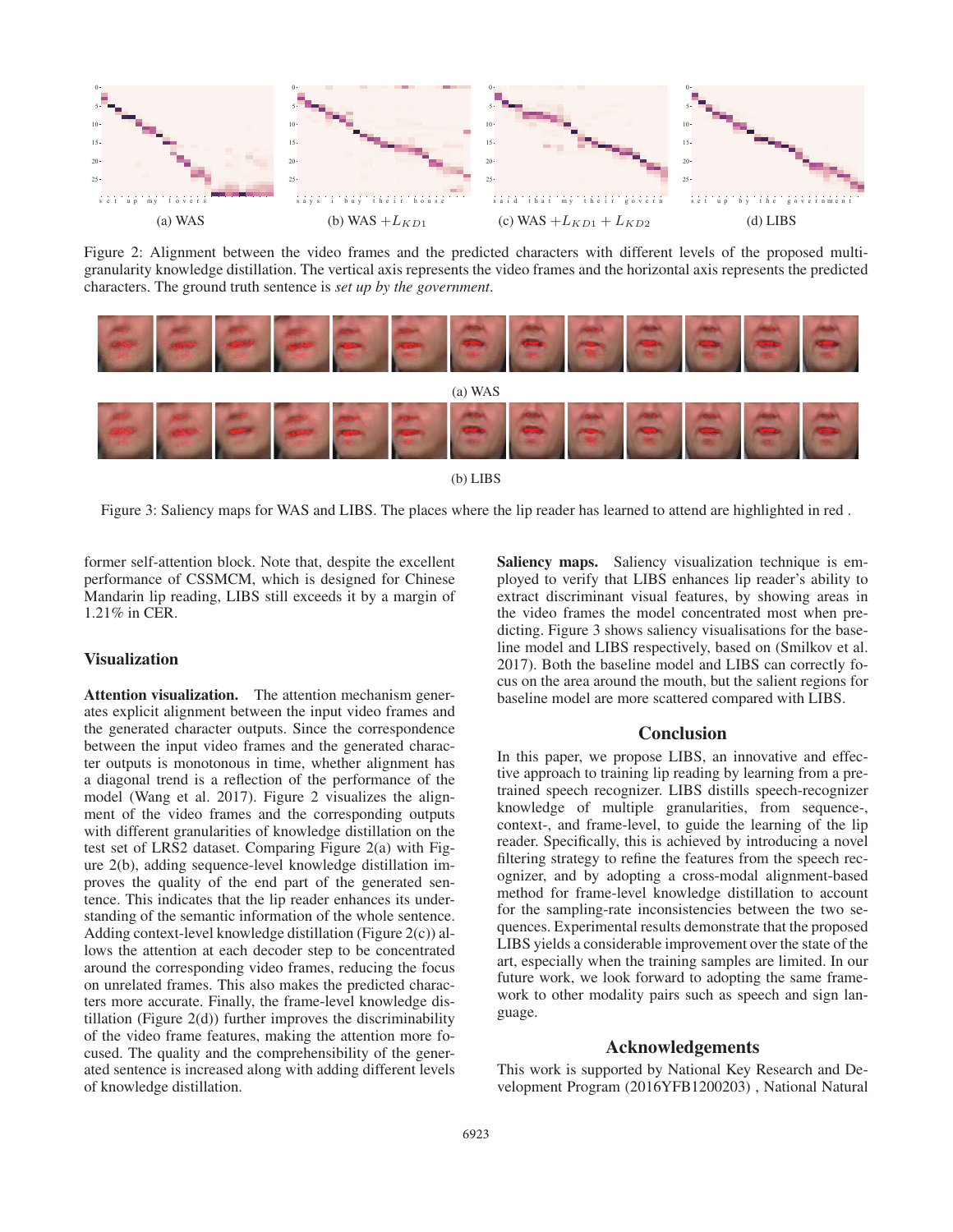

Figure 2: Alignment between the video frames and the predicted characters with different levels of the proposed multigranularity knowledge distillation. The vertical axis represents the video frames and the horizontal axis represents the predicted characters. The ground truth sentence is *set up by the government*.



(b) LIBS

Figure 3: Saliency maps for WAS and LIBS. The places where the lip reader has learned to attend are highlighted in red .

former self-attention block. Note that, despite the excellent performance of CSSMCM, which is designed for Chinese Mandarin lip reading, LIBS still exceeds it by a margin of 1.21% in CER.

# Visualization

Attention visualization. The attention mechanism generates explicit alignment between the input video frames and the generated character outputs. Since the correspondence between the input video frames and the generated character outputs is monotonous in time, whether alignment has a diagonal trend is a reflection of the performance of the model (Wang et al. 2017). Figure 2 visualizes the alignment of the video frames and the corresponding outputs with different granularities of knowledge distillation on the test set of LRS2 dataset. Comparing Figure 2(a) with Figure 2(b), adding sequence-level knowledge distillation improves the quality of the end part of the generated sentence. This indicates that the lip reader enhances its understanding of the semantic information of the whole sentence. Adding context-level knowledge distillation (Figure 2(c)) allows the attention at each decoder step to be concentrated around the corresponding video frames, reducing the focus on unrelated frames. This also makes the predicted characters more accurate. Finally, the frame-level knowledge distillation (Figure 2(d)) further improves the discriminability of the video frame features, making the attention more focused. The quality and the comprehensibility of the generated sentence is increased along with adding different levels of knowledge distillation.

Saliency maps. Saliency visualization technique is employed to verify that LIBS enhances lip reader's ability to extract discriminant visual features, by showing areas in the video frames the model concentrated most when predicting. Figure 3 shows saliency visualisations for the baseline model and LIBS respectively, based on (Smilkov et al. 2017). Both the baseline model and LIBS can correctly focus on the area around the mouth, but the salient regions for baseline model are more scattered compared with LIBS.

### **Conclusion**

In this paper, we propose LIBS, an innovative and effective approach to training lip reading by learning from a pretrained speech recognizer. LIBS distills speech-recognizer knowledge of multiple granularities, from sequence-, context-, and frame-level, to guide the learning of the lip reader. Specifically, this is achieved by introducing a novel filtering strategy to refine the features from the speech recognizer, and by adopting a cross-modal alignment-based method for frame-level knowledge distillation to account for the sampling-rate inconsistencies between the two sequences. Experimental results demonstrate that the proposed LIBS yields a considerable improvement over the state of the art, especially when the training samples are limited. In our future work, we look forward to adopting the same framework to other modality pairs such as speech and sign language.

# Acknowledgements

This work is supported by National Key Research and Development Program (2016YFB1200203) , National Natural